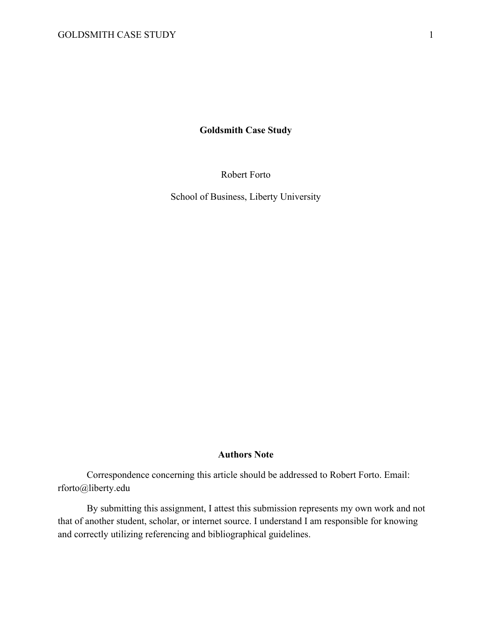**Goldsmith Case Study**

Robert Forto

School of Business, Liberty University

### **Authors Note**

Correspondence concerning this article should be addressed to Robert Forto. Email: rforto@liberty.edu

By submitting this assignment, I attest this submission represents my own work and not that of another student, scholar, or internet source. I understand I am responsible for knowing and correctly utilizing referencing and bibliographical guidelines.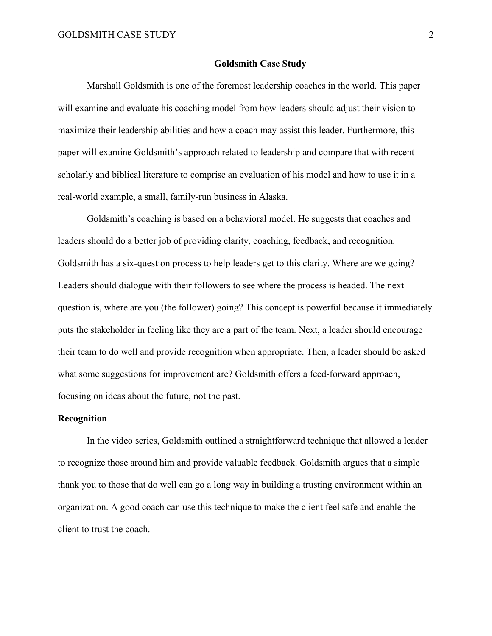### **Goldsmith Case Study**

Marshall Goldsmith is one of the foremost leadership coaches in the world. This paper will examine and evaluate his coaching model from how leaders should adjust their vision to maximize their leadership abilities and how a coach may assist this leader. Furthermore, this paper will examine Goldsmith's approach related to leadership and compare that with recent scholarly and biblical literature to comprise an evaluation of his model and how to use it in a real-world example, a small, family-run business in Alaska.

Goldsmith's coaching is based on a behavioral model. He suggests that coaches and leaders should do a better job of providing clarity, coaching, feedback, and recognition. Goldsmith has a six-question process to help leaders get to this clarity. Where are we going? Leaders should dialogue with their followers to see where the process is headed. The next question is, where are you (the follower) going? This concept is powerful because it immediately puts the stakeholder in feeling like they are a part of the team. Next, a leader should encourage their team to do well and provide recognition when appropriate. Then, a leader should be asked what some suggestions for improvement are? Goldsmith offers a feed-forward approach, focusing on ideas about the future, not the past.

# **Recognition**

In the video series, Goldsmith outlined a straightforward technique that allowed a leader to recognize those around him and provide valuable feedback. Goldsmith argues that a simple thank you to those that do well can go a long way in building a trusting environment within an organization. A good coach can use this technique to make the client feel safe and enable the client to trust the coach.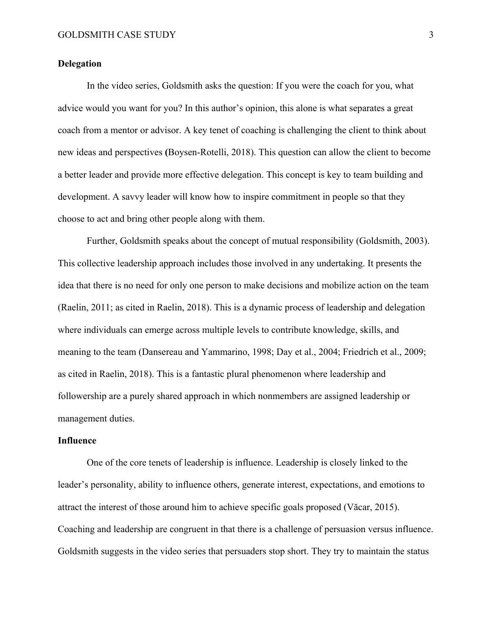# **Delegation**

In the video series, Goldsmith asks the question: If you were the coach for you, what advice would you want for you? In this author's opinion, this alone is what separates a great coach from a mentor or advisor. A key tenet of coaching is challenging the client to think about new ideas and perspectives **(**Boysen-Rotelli, 2018). This question can allow the client to become a better leader and provide more effective delegation. This concept is key to team building and development. A savvy leader will know how to inspire commitment in people so that they choose to act and bring other people along with them.

Further, Goldsmith speaks about the concept of mutual responsibility (Goldsmith, 2003). This collective leadership approach includes those involved in any undertaking. It presents the idea that there is no need for only one person to make decisions and mobilize action on the team (Raelin, 2011; as cited in Raelin, 2018). This is a dynamic process of leadership and delegation where individuals can emerge across multiple levels to contribute knowledge, skills, and meaning to the team (Dansereau and Yammarino, 1998; Day et al., 2004; Friedrich et al., 2009; as cited in Raelin, 2018). This is a fantastic plural phenomenon where leadership and followership are a purely shared approach in which nonmembers are assigned leadership or management duties.

# **Influence**

One of the core tenets of leadership is influence. Leadership is closely linked to the leader's personality, ability to influence others, generate interest, expectations, and emotions to attract the interest of those around him to achieve specific goals proposed (Văcar, 2015). Coaching and leadership are congruent in that there is a challenge of persuasion versus influence. Goldsmith suggests in the video series that persuaders stop short. They try to maintain the status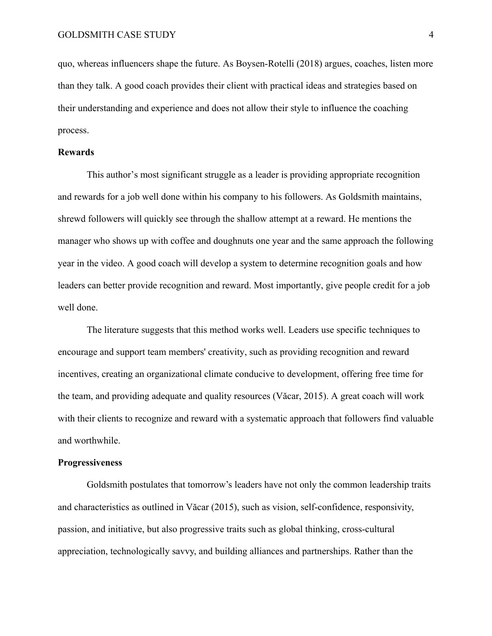quo, whereas influencers shape the future. As Boysen-Rotelli (2018) argues, coaches, listen more than they talk. A good coach provides their client with practical ideas and strategies based on their understanding and experience and does not allow their style to influence the coaching process.

## **Rewards**

This author's most significant struggle as a leader is providing appropriate recognition and rewards for a job well done within his company to his followers. As Goldsmith maintains, shrewd followers will quickly see through the shallow attempt at a reward. He mentions the manager who shows up with coffee and doughnuts one year and the same approach the following year in the video. A good coach will develop a system to determine recognition goals and how leaders can better provide recognition and reward. Most importantly, give people credit for a job well done.

The literature suggests that this method works well. Leaders use specific techniques to encourage and support team members' creativity, such as providing recognition and reward incentives, creating an organizational climate conducive to development, offering free time for the team, and providing adequate and quality resources (Văcar, 2015). A great coach will work with their clients to recognize and reward with a systematic approach that followers find valuable and worthwhile.

#### **Progressiveness**

Goldsmith postulates that tomorrow's leaders have not only the common leadership traits and characteristics as outlined in Văcar (2015), such as vision, self-confidence, responsivity, passion, and initiative, but also progressive traits such as global thinking, cross-cultural appreciation, technologically savvy, and building alliances and partnerships. Rather than the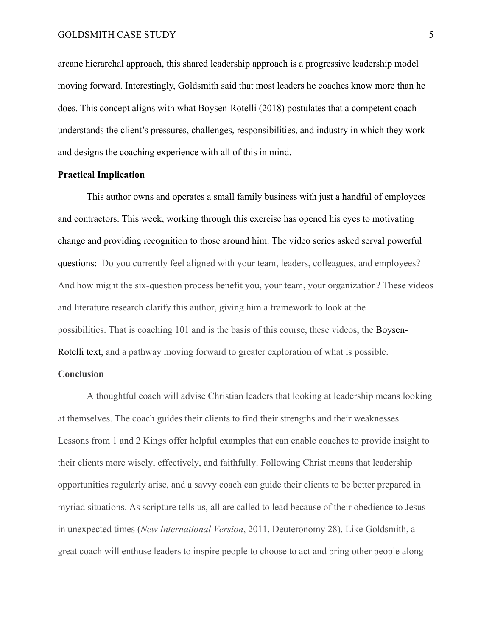# GOLDSMITH CASE STUDY 5

arcane hierarchal approach, this shared leadership approach is a progressive leadership model moving forward. Interestingly, Goldsmith said that most leaders he coaches know more than he does. This concept aligns with what Boysen-Rotelli (2018) postulates that a competent coach understands the client's pressures, challenges, responsibilities, and industry in which they work and designs the coaching experience with all of this in mind.

# **Practical Implication**

This author owns and operates a small family business with just a handful of employees and contractors. This week, working through this exercise has opened his eyes to motivating change and providing recognition to those around him. The video series asked serval powerful questions: Do you currently feel aligned with your team, leaders, colleagues, and employees? And how might the six-question process benefit you, your team, your organization? These videos and literature research clarify this author, giving him a framework to look at the possibilities. That is coaching 101 and is the basis of this course, these videos, the Boysen-Rotelli text, and a pathway moving forward to greater exploration of what is possible.

# **Conclusion**

A thoughtful coach will advise Christian leaders that looking at leadership means looking at themselves. The coach guides their clients to find their strengths and their weaknesses. Lessons from 1 and 2 Kings offer helpful examples that can enable coaches to provide insight to their clients more wisely, effectively, and faithfully. Following Christ means that leadership opportunities regularly arise, and a savvy coach can guide their clients to be better prepared in myriad situations. As scripture tells us, all are called to lead because of their obedience to Jesus in unexpected times (*New International Version*, 2011, Deuteronomy 28). Like Goldsmith, a great coach will enthuse leaders to inspire people to choose to act and bring other people along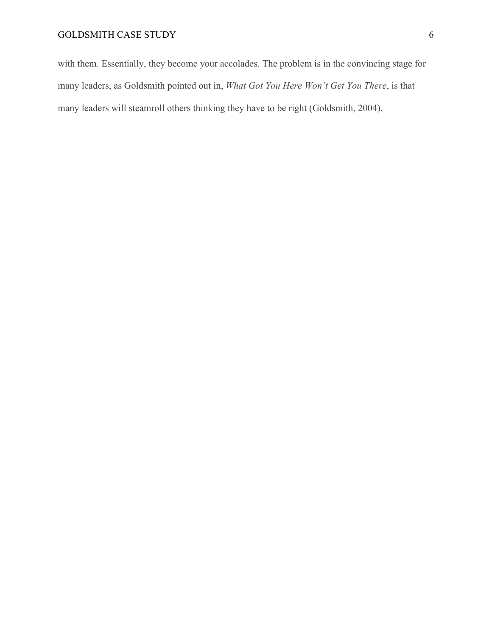with them. Essentially, they become your accolades. The problem is in the convincing stage for many leaders, as Goldsmith pointed out in, *What Got You Here Won't Get You There*, is that many leaders will steamroll others thinking they have to be right (Goldsmith, 2004).